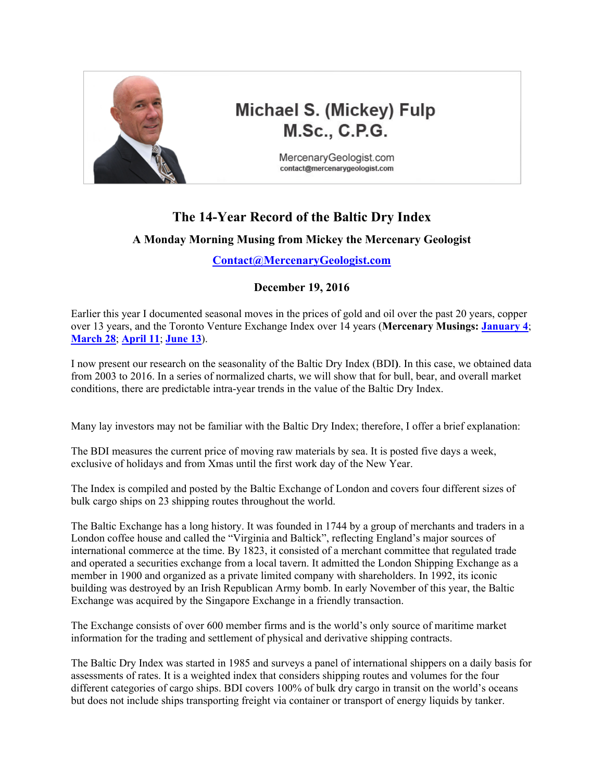

# **Michael S. (Mickey) Fulp M.Sc., C.P.G.**

MercenaryGeologist.com contact@mercenarygeologist.com

## **The 14-Year Record of the Baltic Dry Index**

### **A Monday Morning Musing from Mickey the Mercenary Geologist**

#### **[Contact@MercenaryGeologist.com](mailto:Contact@mercenarygeologist.com)**

### **December 19, 2016**

Earlier this year I documented seasonal moves in the prices of gold and oil over the past 20 years, copper over 13 years, and the Toronto Venture Exchange Index over 14 years (**Mercenary Musings: [January 4](http://www.goldgeologist.com/mercenary_musings/musing-160104-The-20-Year-Record-for-Gold.pdf)**; **[March 28](http://www.goldgeologist.com/mercenary_musings/musing-160328-The-20-Year-Record-for-Oil.pdf)**; **[April 11](http://www.goldgeologist.com/mercenary_musings/musing-160411-The-13-Year-Record-for-Copper.pdf)**; **[June 13](http://www.goldgeologist.com/mercenary_musings/musing-160613-The-14-Year-Record-of-the-Toronto-Venture-Exchange.pdf)**).

I now present our research on the seasonality of the Baltic Dry Index (BDI**)**. In this case, we obtained data from 2003 to 2016. In a series of normalized charts, we will show that for bull, bear, and overall market conditions, there are predictable intra-year trends in the value of the Baltic Dry Index.

Many lay investors may not be familiar with the Baltic Dry Index; therefore, I offer a brief explanation:

The BDI measures the current price of moving raw materials by sea. It is posted five days a week, exclusive of holidays and from Xmas until the first work day of the New Year.

The Index is compiled and posted by the Baltic Exchange of London and covers four different sizes of bulk cargo ships on 23 shipping routes throughout the world.

The Baltic Exchange has a long history. It was founded in 1744 by a group of merchants and traders in a London coffee house and called the "Virginia and Baltick", reflecting England's major sources of international commerce at the time. By 1823, it consisted of a merchant committee that regulated trade and operated a securities exchange from a local tavern. It admitted the London Shipping Exchange as a member in 1900 and organized as a private limited company with shareholders. In 1992, its iconic building was destroyed by an Irish Republican Army bomb. In early November of this year, the Baltic Exchange was acquired by the Singapore Exchange in a friendly transaction.

The Exchange consists of over 600 member firms and is the world's only source of maritime market information for the trading and settlement of physical and derivative shipping contracts.

The Baltic Dry Index was started in 1985 and surveys a panel of international shippers on a daily basis for assessments of rates. It is a weighted index that considers shipping routes and volumes for the four different categories of cargo ships. BDI covers 100% of bulk dry cargo in transit on the world's oceans but does not include ships transporting freight via container or transport of energy liquids by tanker.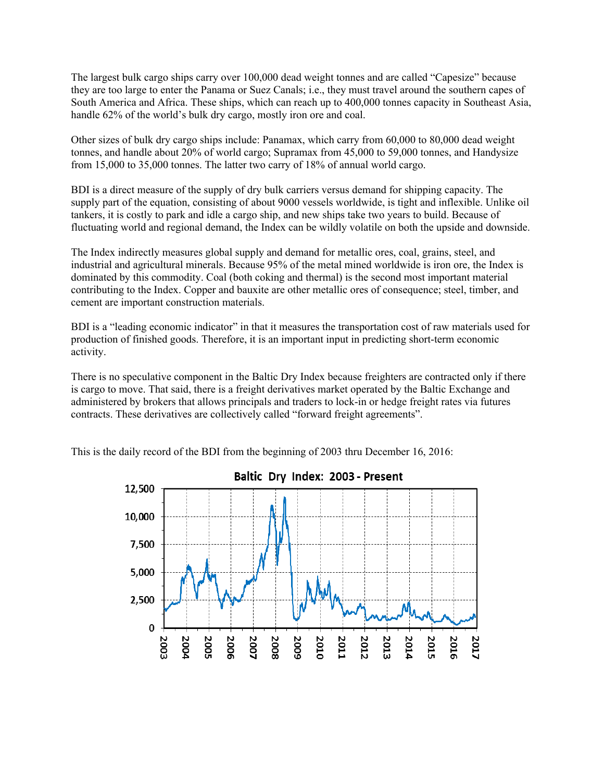The largest bulk cargo ships carry over 100,000 dead weight tonnes and are called "Capesize" because they are too large to enter the Panama or Suez Canals; i.e., they must travel around the southern capes of South America and Africa. These ships, which can reach up to 400,000 tonnes capacity in Southeast Asia, handle 62% of the world's bulk dry cargo, mostly iron ore and coal.

Other sizes of bulk dry cargo ships include: Panamax, which carry from 60,000 to 80,000 dead weight tonnes, and handle about 20% of world cargo; Supramax from 45,000 to 59,000 tonnes, and Handysize from 15,000 to 35,000 tonnes. The latter two carry of 18% of annual world cargo.

BDI is a direct measure of the supply of dry bulk carriers versus demand for shipping capacity. The supply part of the equation, consisting of about 9000 vessels worldwide, is tight and inflexible. Unlike oil tankers, it is costly to park and idle a cargo ship, and new ships take two years to build. Because of fluctuating world and regional demand, the Index can be wildly volatile on both the upside and downside.

The Index indirectly measures global supply and demand for metallic ores, coal, grains, steel, and industrial and agricultural minerals. Because 95% of the metal mined worldwide is iron ore, the Index is dominated by this commodity. Coal (both coking and thermal) is the second most important material contributing to the Index. Copper and bauxite are other metallic ores of consequence; steel, timber, and cement are important construction materials.

BDI is a "leading economic indicator" in that it measures the transportation cost of raw materials used for production of finished goods. Therefore, it is an important input in predicting short-term economic activity.

There is no speculative component in the Baltic Dry Index because freighters are contracted only if there is cargo to move. That said, there is a freight derivatives market operated by the Baltic Exchange and administered by brokers that allows principals and traders to lock-in or hedge freight rates via futures contracts. These derivatives are collectively called "forward freight agreements".



This is the daily record of the BDI from the beginning of 2003 thru December 16, 2016: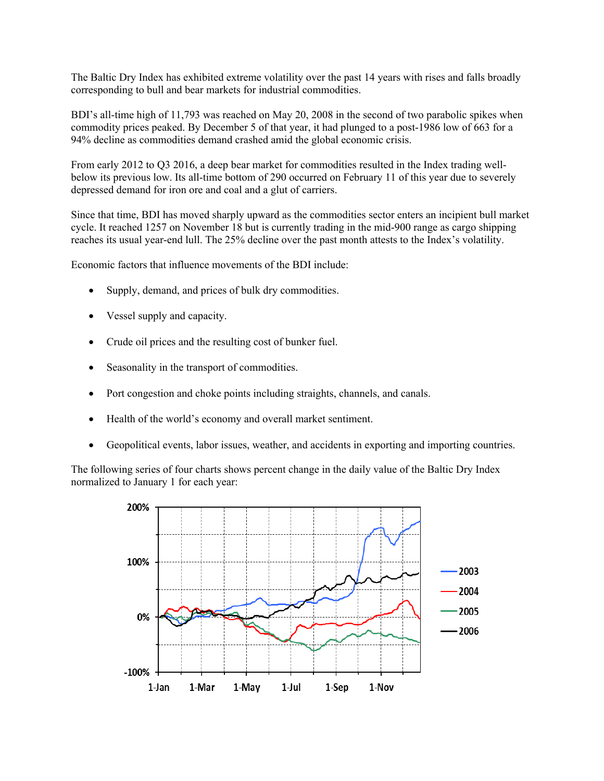The Baltic Dry Index has exhibited extreme volatility over the past 14 years with rises and falls broadly corresponding to bull and bear markets for industrial commodities.

BDI's all-time high of 11,793 was reached on May 20, 2008 in the second of two parabolic spikes when commodity prices peaked. By December 5 of that year, it had plunged to a post-1986 low of 663 for a 94% decline as commodities demand crashed amid the global economic crisis.

From early 2012 to Q3 2016, a deep bear market for commodities resulted in the Index trading wellbelow its previous low. Its all-time bottom of 290 occurred on February 11 of this year due to severely depressed demand for iron ore and coal and a glut of carriers.

Since that time, BDI has moved sharply upward as the commodities sector enters an incipient bull market cycle. It reached 1257 on November 18 but is currently trading in the mid-900 range as cargo shipping reaches its usual year-end lull. The 25% decline over the past month attests to the Index's volatility.

Economic factors that influence movements of the BDI include:

- Supply, demand, and prices of bulk dry commodities.
- Vessel supply and capacity.
- Crude oil prices and the resulting cost of bunker fuel.
- Seasonality in the transport of commodities.
- Port congestion and choke points including straights, channels, and canals.
- Health of the world's economy and overall market sentiment.
- Geopolitical events, labor issues, weather, and accidents in exporting and importing countries.

The following series of four charts shows percent change in the daily value of the Baltic Dry Index normalized to January 1 for each year:

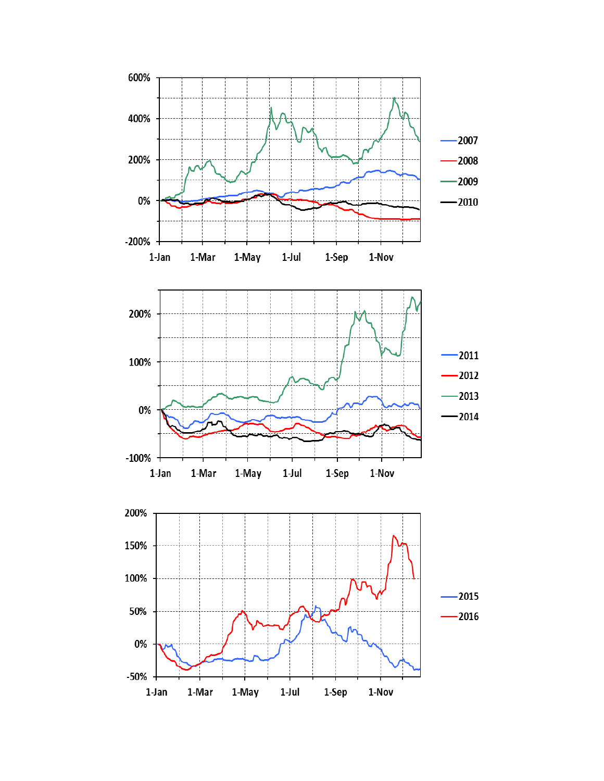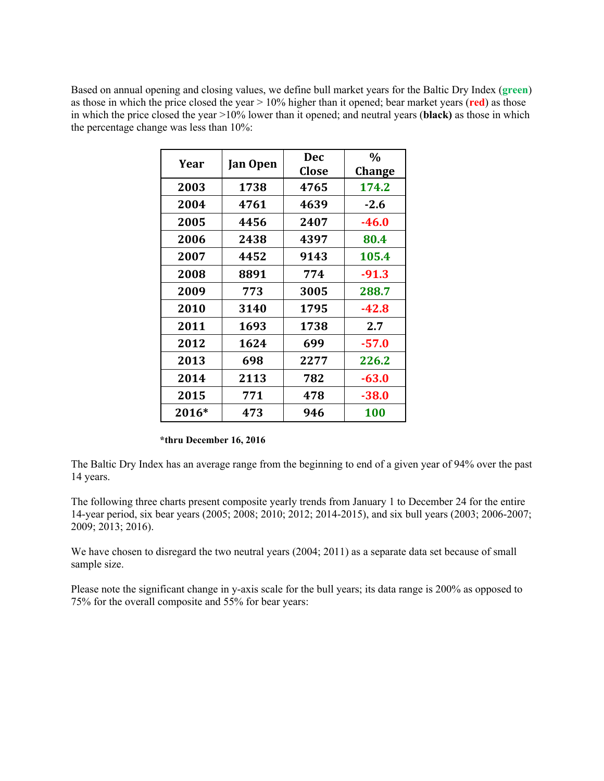Based on annual opening and closing values, we define bull market years for the Baltic Dry Index (**green**) as those in which the price closed the year > 10% higher than it opened; bear market years (**red**) as those in which the price closed the year >10% lower than it opened; and neutral years (**black)** as those in which the percentage change was less than 10%:

| Year  | <b>Jan Open</b> | Dec<br>Close | $\frac{0}{0}$<br><b>Change</b> |
|-------|-----------------|--------------|--------------------------------|
| 2003  | 1738            | 4765         | 174.2                          |
| 2004  | 4761            | 4639         | $-2.6$                         |
| 2005  | 4456            | 2407         | $-46.0$                        |
| 2006  | 2438            | 4397         | 80.4                           |
| 2007  | 4452            | 9143         | 105.4                          |
| 2008  | 8891            | 774          | $-91.3$                        |
| 2009  | 773             | 3005         | 288.7                          |
| 2010  | 3140            | 1795         | -42.8                          |
| 2011  | 1693            | 1738         | 2.7                            |
| 2012  | 1624            | 699          | $-57.0$                        |
| 2013  | 698             | 2277         | 226.2                          |
| 2014  | 2113            | 782          | $-63.0$                        |
| 2015  | 771             | 478          | $-38.0$                        |
| 2016* | 473             | 946          | <b>100</b>                     |

#### **\*thru December 16, 2016**

The Baltic Dry Index has an average range from the beginning to end of a given year of 94% over the past 14 years.

The following three charts present composite yearly trends from January 1 to December 24 for the entire 14-year period, six bear years (2005; 2008; 2010; 2012; 2014-2015), and six bull years (2003; 2006-2007; 2009; 2013; 2016).

We have chosen to disregard the two neutral years (2004; 2011) as a separate data set because of small sample size.

Please note the significant change in y-axis scale for the bull years; its data range is 200% as opposed to 75% for the overall composite and 55% for bear years: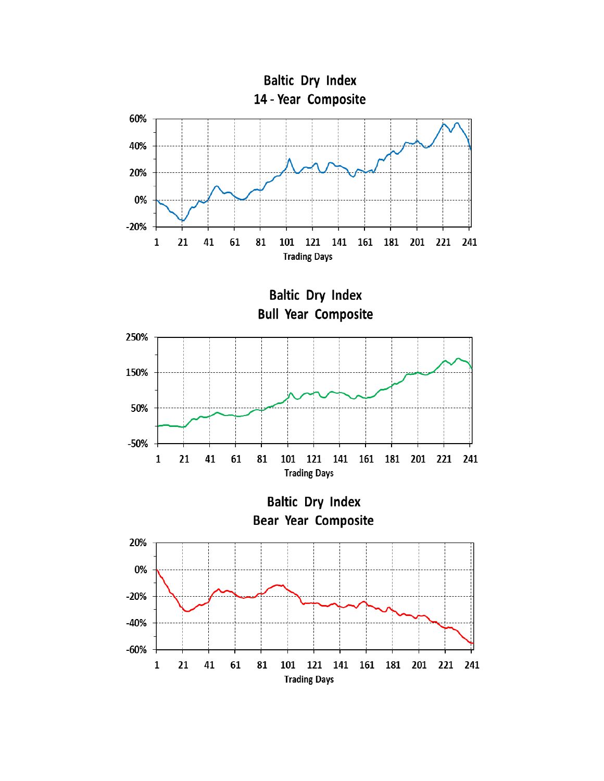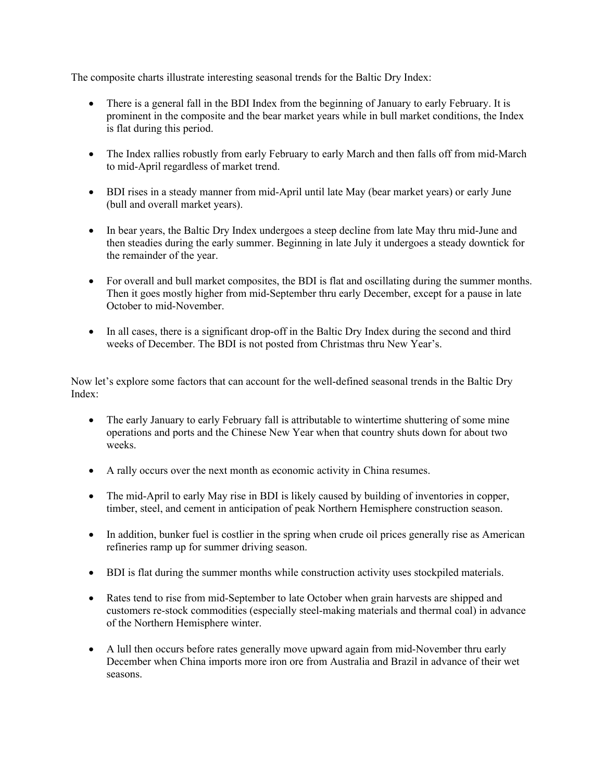The composite charts illustrate interesting seasonal trends for the Baltic Dry Index:

- There is a general fall in the BDI Index from the beginning of January to early February. It is prominent in the composite and the bear market years while in bull market conditions, the Index is flat during this period.
- The Index rallies robustly from early February to early March and then falls off from mid-March to mid-April regardless of market trend.
- BDI rises in a steady manner from mid-April until late May (bear market years) or early June (bull and overall market years).
- In bear years, the Baltic Dry Index undergoes a steep decline from late May thru mid-June and then steadies during the early summer. Beginning in late July it undergoes a steady downtick for the remainder of the year.
- For overall and bull market composites, the BDI is flat and oscillating during the summer months. Then it goes mostly higher from mid-September thru early December, except for a pause in late October to mid-November.
- In all cases, there is a significant drop-off in the Baltic Dry Index during the second and third weeks of December. The BDI is not posted from Christmas thru New Year's.

Now let's explore some factors that can account for the well-defined seasonal trends in the Baltic Dry Index:

- The early January to early February fall is attributable to wintertime shuttering of some mine operations and ports and the Chinese New Year when that country shuts down for about two weeks.
- A rally occurs over the next month as economic activity in China resumes.
- The mid-April to early May rise in BDI is likely caused by building of inventories in copper, timber, steel, and cement in anticipation of peak Northern Hemisphere construction season.
- In addition, bunker fuel is costlier in the spring when crude oil prices generally rise as American refineries ramp up for summer driving season.
- BDI is flat during the summer months while construction activity uses stockpiled materials.
- Rates tend to rise from mid-September to late October when grain harvests are shipped and customers re-stock commodities (especially steel-making materials and thermal coal) in advance of the Northern Hemisphere winter.
- A lull then occurs before rates generally move upward again from mid-November thru early December when China imports more iron ore from Australia and Brazil in advance of their wet seasons.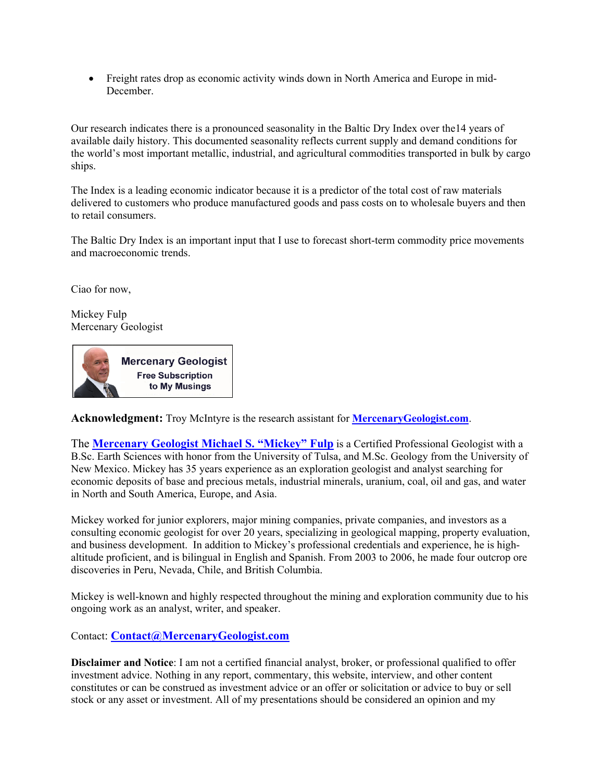• Freight rates drop as economic activity winds down in North America and Europe in mid-December.

Our research indicates there is a pronounced seasonality in the Baltic Dry Index over the14 years of available daily history. This documented seasonality reflects current supply and demand conditions for the world's most important metallic, industrial, and agricultural commodities transported in bulk by cargo ships.

The Index is a leading economic indicator because it is a predictor of the total cost of raw materials delivered to customers who produce manufactured goods and pass costs on to wholesale buyers and then to retail consumers.

The Baltic Dry Index is an important input that I use to forecast short-term commodity price movements and macroeconomic trends.

Ciao for now,

Mickey Fulp Mercenary Geologist

**Mercenary Geologist Free Subscription** to My Musings

**Acknowledgment:** Troy McIntyre is the research assistant for **[MercenaryGeologist.com](http://mercenarygeologist.com/)**.

The **[Mercenary Geologist Michael S. "Mickey" Fulp](http://www.mercenarygeologist.com/)** is a Certified Professional [Geologist](http://www.miningcompanyreport.com/index.htm) with a B.Sc. Earth Sciences with honor from the University of Tulsa, and M.Sc. Geology from the University of New Mexico. Mickey has 35 years experience as an exploration geologist and analyst searching for economic deposits of base and precious metals, industrial minerals, uranium, coal, oil and gas, and water in North and South America, Europe, and Asia.

Mickey worked for junior explorers, major mining companies, private companies, and investors as a consulting economic geologist for over 20 years, specializing in geological mapping, property evaluation, and business development. In addition to Mickey's professional credentials and experience, he is highaltitude proficient, and is bilingual in English and Spanish. From 2003 to 2006, he made four outcrop ore discoveries in Peru, Nevada, Chile, and British Columbia.

Mickey is well-known and highly respected throughout the mining and exploration community due to his ongoing work as an analyst, writer, and speaker.

Contact: **[Contact@MercenaryGeologist.com](mailto:Contact@mercenarygeologist.com)**

**Disclaimer and Notice**: I am not a certified financial analyst, broker, or professional qualified to offer investment advice. Nothing in any report, commentary, this website, interview, and other content constitutes or can be construed as investment advice or an offer or solicitation or advice to buy or sell stock or any asset or investment. All of my presentations should be considered an opinion and my